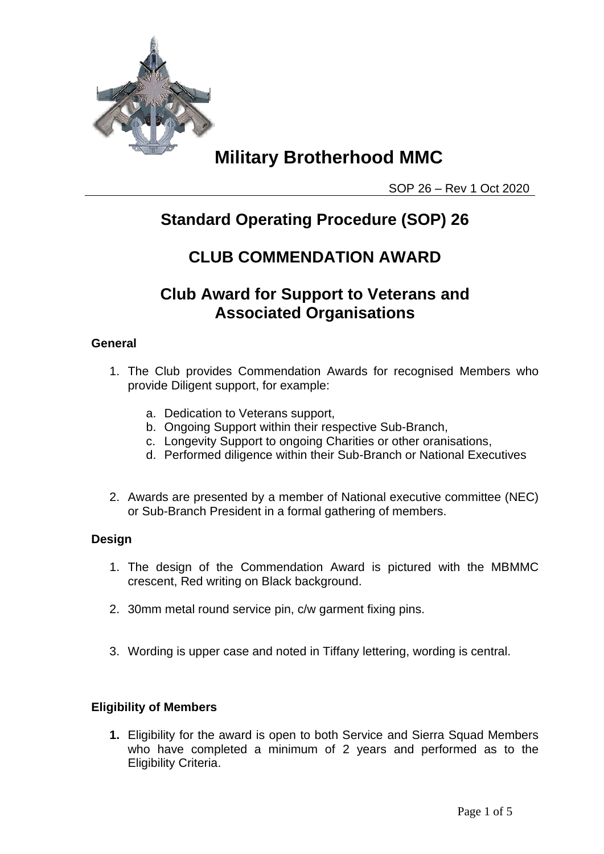

SOP 26 – Rev 1 Oct 2020

### **Standard Operating Procedure (SOP) 26**

### **CLUB COMMENDATION AWARD**

### **Club Award for Support to Veterans and Associated Organisations**

### **General**

- 1. The Club provides Commendation Awards for recognised Members who provide Diligent support, for example:
	- a. Dedication to Veterans support,
	- b. Ongoing Support within their respective Sub-Branch,
	- c. Longevity Support to ongoing Charities or other oranisations,
	- d. Performed diligence within their Sub-Branch or National Executives
- 2. Awards are presented by a member of National executive committee (NEC) or Sub-Branch President in a formal gathering of members.

#### **Design**

- 1. The design of the Commendation Award is pictured with the MBMMC crescent, Red writing on Black background.
- 2. 30mm metal round service pin, c/w garment fixing pins.
- 3. Wording is upper case and noted in Tiffany lettering, wording is central.

#### **Eligibility of Members**

**1.** Eligibility for the award is open to both Service and Sierra Squad Members who have completed a minimum of 2 years and performed as to the Eligibility Criteria.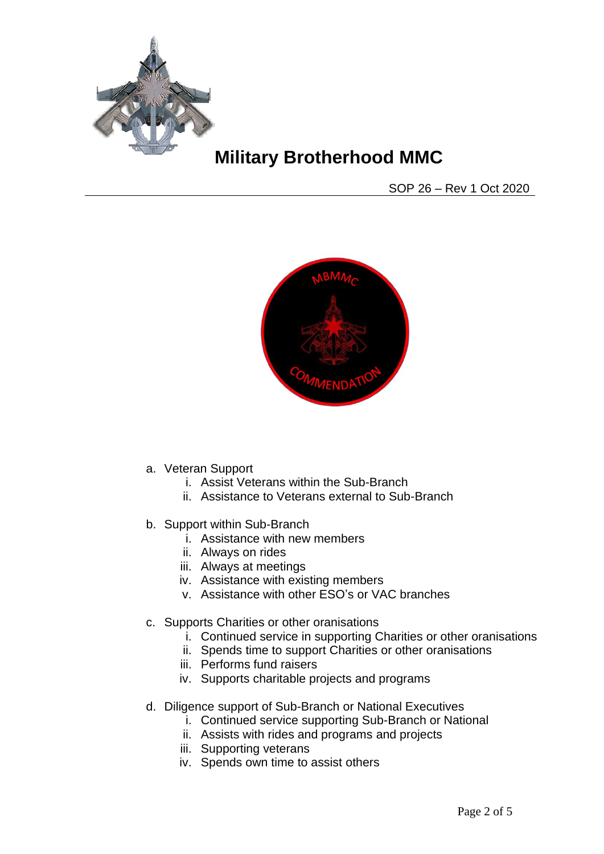

SOP 26 – Rev 1 Oct 2020



- a. Veteran Support
	- i. Assist Veterans within the Sub-Branch
	- ii. Assistance to Veterans external to Sub-Branch
- b. Support within Sub-Branch
	- i. Assistance with new members
	- ii. Always on rides
	- iii. Always at meetings
	- iv. Assistance with existing members
	- v. Assistance with other ESO's or VAC branches
- c. Supports Charities or other oranisations
	- i. Continued service in supporting Charities or other oranisations
	- ii. Spends time to support Charities or other oranisations
	- iii. Performs fund raisers
	- iv. Supports charitable projects and programs
- d. Diligence support of Sub-Branch or National Executives
	- i. Continued service supporting Sub-Branch or National
	- ii. Assists with rides and programs and projects
	- iii. Supporting veterans
	- iv. Spends own time to assist others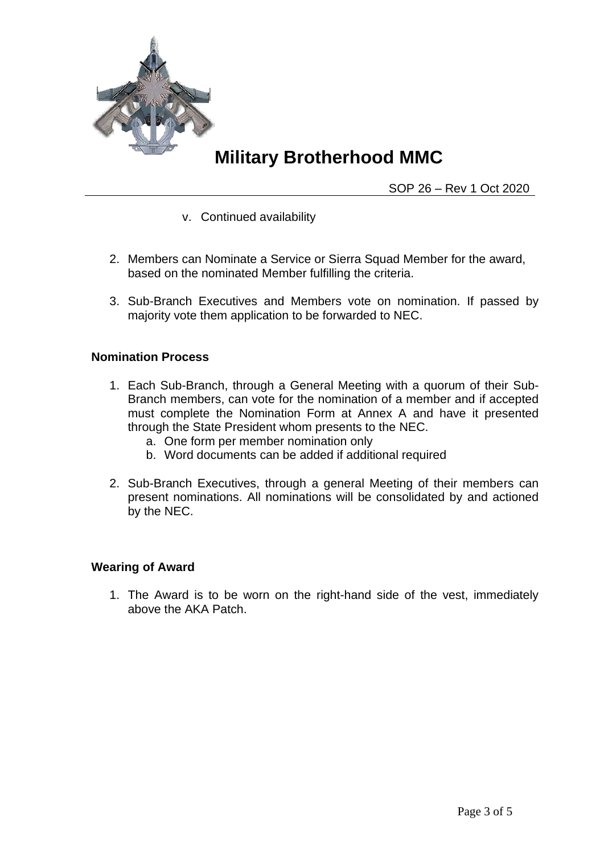

SOP 26 – Rev 1 Oct 2020

- v. Continued availability
- 2. Members can Nominate a Service or Sierra Squad Member for the award, based on the nominated Member fulfilling the criteria.
- 3. Sub-Branch Executives and Members vote on nomination. If passed by majority vote them application to be forwarded to NEC.

#### **Nomination Process**

- 1. Each Sub-Branch, through a General Meeting with a quorum of their Sub-Branch members, can vote for the nomination of a member and if accepted must complete the Nomination Form at Annex A and have it presented through the State President whom presents to the NEC.
	- a. One form per member nomination only
	- b. Word documents can be added if additional required
- 2. Sub-Branch Executives, through a general Meeting of their members can present nominations. All nominations will be consolidated by and actioned by the NEC.

#### **Wearing of Award**

1. The Award is to be worn on the right-hand side of the vest, immediately above the AKA Patch.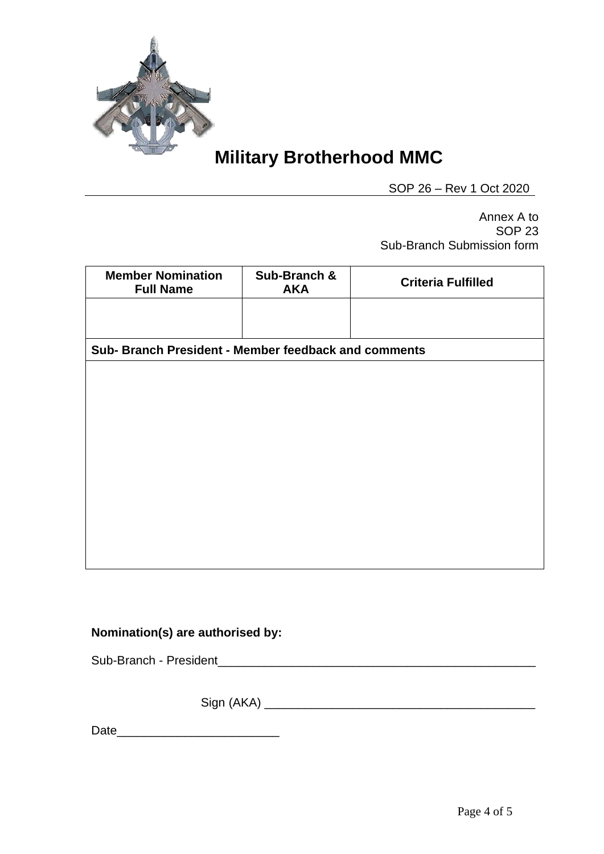

SOP 26 – Rev 1 Oct 2020

Annex A to SOP 23 Sub-Branch Submission form

| <b>Member Nomination</b><br><b>Full Name</b>         | Sub-Branch &<br><b>AKA</b> | <b>Criteria Fulfilled</b> |
|------------------------------------------------------|----------------------------|---------------------------|
|                                                      |                            |                           |
| Sub- Branch President - Member feedback and comments |                            |                           |
|                                                      |                            |                           |
|                                                      |                            |                           |
|                                                      |                            |                           |
|                                                      |                            |                           |
|                                                      |                            |                           |
|                                                      |                            |                           |
|                                                      |                            |                           |

### **Nomination(s) are authorised by:**

Sub-Branch - President\_\_\_\_\_\_\_\_\_\_\_\_\_\_\_\_\_\_\_\_\_\_\_\_\_\_\_\_\_\_\_\_\_\_\_\_\_\_\_\_\_\_\_\_\_\_\_

Sign (AKA) \_\_\_\_\_\_\_\_\_\_\_\_\_\_\_\_\_\_\_\_\_\_\_\_\_\_\_\_\_\_\_\_\_\_\_\_\_\_\_\_

Date\_\_\_\_\_\_\_\_\_\_\_\_\_\_\_\_\_\_\_\_\_\_\_\_